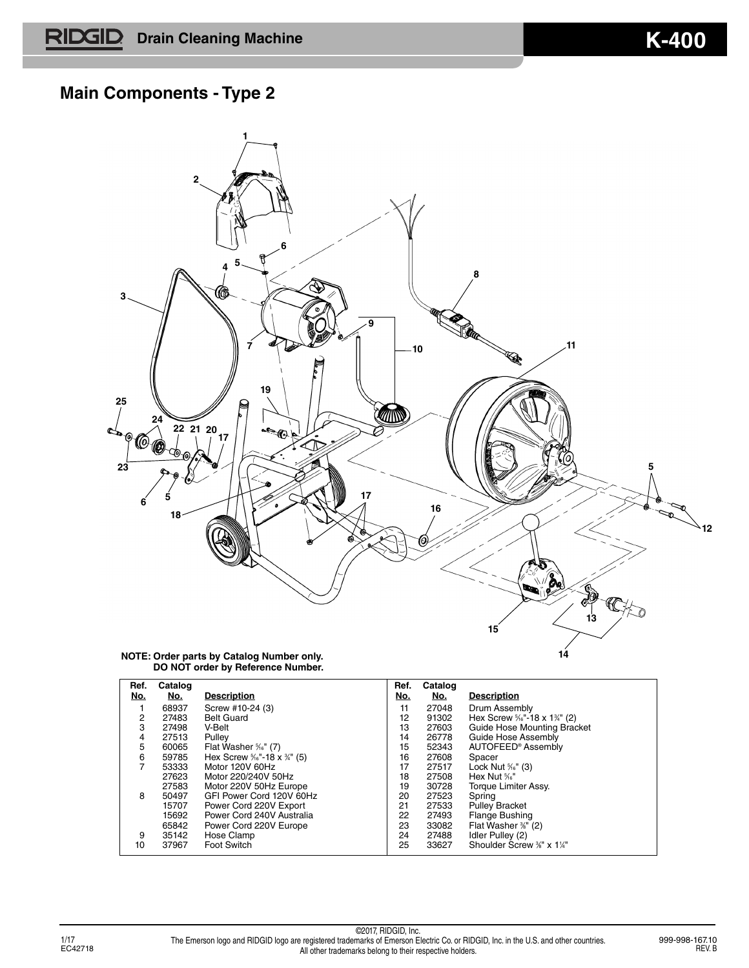### **Main Components - Type 2**



| Ref.<br>No. | Catalog<br>No. | <b>Description</b>                                | Ref.<br>No. | Catalog<br><u>No.</u> | <b>Description</b>                                  |
|-------------|----------------|---------------------------------------------------|-------------|-----------------------|-----------------------------------------------------|
|             | 68937          | Screw #10-24 (3)                                  | 11          | 27048                 | Drum Assembly                                       |
| 2           | 27483          | <b>Belt Guard</b>                                 | 12          | 91302                 | Hex Screw $\frac{5}{16}$ -18 x 1 <sup>3/4</sup> (2) |
| 3           | 27498          | V-Belt                                            | 13          | 27603                 | Guide Hose Mounting Bracket                         |
| 4           | 27513          | Pulley                                            | 14          | 26778                 | Guide Hose Assembly                                 |
| 5           | 60065          | Flat Washer $\frac{5}{16}$ " (7)                  | 15          | 52343                 | AUTOFEED <sup>®</sup> Assembly                      |
| 6           | 59785          | Hex Screw $\frac{5}{16}$ - 18 x $\frac{3}{4}$ (5) | 16          | 27608                 | Spacer                                              |
| 7           | 53333          | Motor 120V 60Hz                                   | 17          | 27517                 | Lock Nut $\frac{5}{16}$ " (3)                       |
|             | 27623          | Motor 220/240V 50Hz                               | 18          | 27508                 | Hex Nut <sup>%</sup>                                |
|             | 27583          | Motor 220V 50Hz Europe                            | 19          | 30728                 | Torque Limiter Assy.                                |
| 8           | 50497          | GFI Power Cord 120V 60Hz                          | 20          | 27523                 | Spring                                              |
|             | 15707          | Power Cord 220V Export                            | 21          | 27533                 | <b>Pulley Bracket</b>                               |
|             | 15692          | Power Cord 240V Australia                         | 22          | 27493                 | <b>Flange Bushing</b>                               |
|             | 65842          | Power Cord 220V Europe                            | 23          | 33082                 | Flat Washer %" (2)                                  |
| 9           | 35142          | Hose Clamp                                        | 24          | 27488                 | Idler Pulley (2)                                    |
| 10          | 37967          | <b>Foot Switch</b>                                | 25          | 33627                 | Shoulder Screw %" x 1%"                             |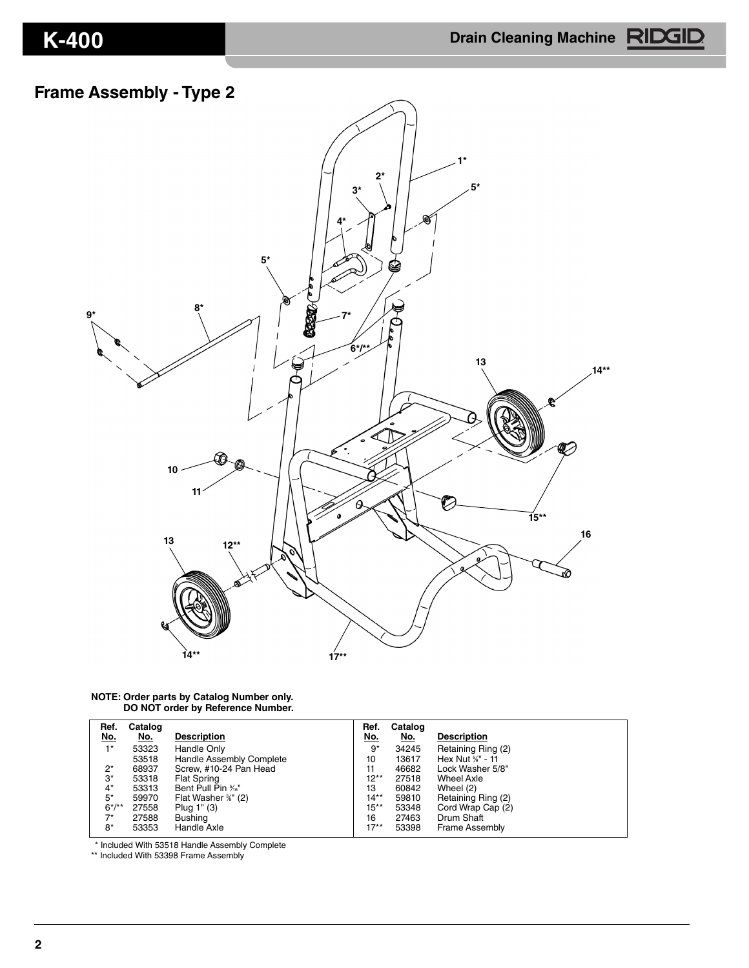### **Frame Assembly - Type 2**



#### **NOTE: Order parts by Catalog Number only. DO NOT order by Reference Number.**

| Ref.        | Catalog    |                          | Ref.       | Catalog    |                       |
|-------------|------------|--------------------------|------------|------------|-----------------------|
| <u>No.</u>  | <u>No.</u> | <b>Description</b>       | <u>No.</u> | <u>No.</u> | <b>Description</b>    |
| $1^*$       | 53323      | Handle Only              | 9*         | 34245      | Retaining Ring (2)    |
|             | 53518      | Handle Assembly Complete | 10         | 13617      | Hex Nut %" - 11       |
| $2^*$       | 68937      | Screw, #10-24 Pan Head   | 11         | 46682      | Lock Washer 5/8"      |
| 3*          | 53318      | <b>Flat Spring</b>       | $12**$     | 27518      | Wheel Axle            |
| $4^*$       | 53313      | Bent Pull Pin %"         | 13         | 60842      | Wheel (2)             |
| $5*$        | 59970      | Flat Washer %" (2)       | $14**$     | 59810      | Retaining Ring (2)    |
| $6*/**$     | 27558      | Plug 1" (3)              | 15**       | 53348      | Cord Wrap Cap (2)     |
| $7^{\star}$ | 27588      | Bushing                  | 16         | 27463      | Drum Shaft            |
| 8*          | 53353      | Handle Axle              | $17**$     | 53398      | <b>Frame Assembly</b> |

\* Included With 53518 Handle Assembly Complete

\*\* Included With 53398 Frame Assembly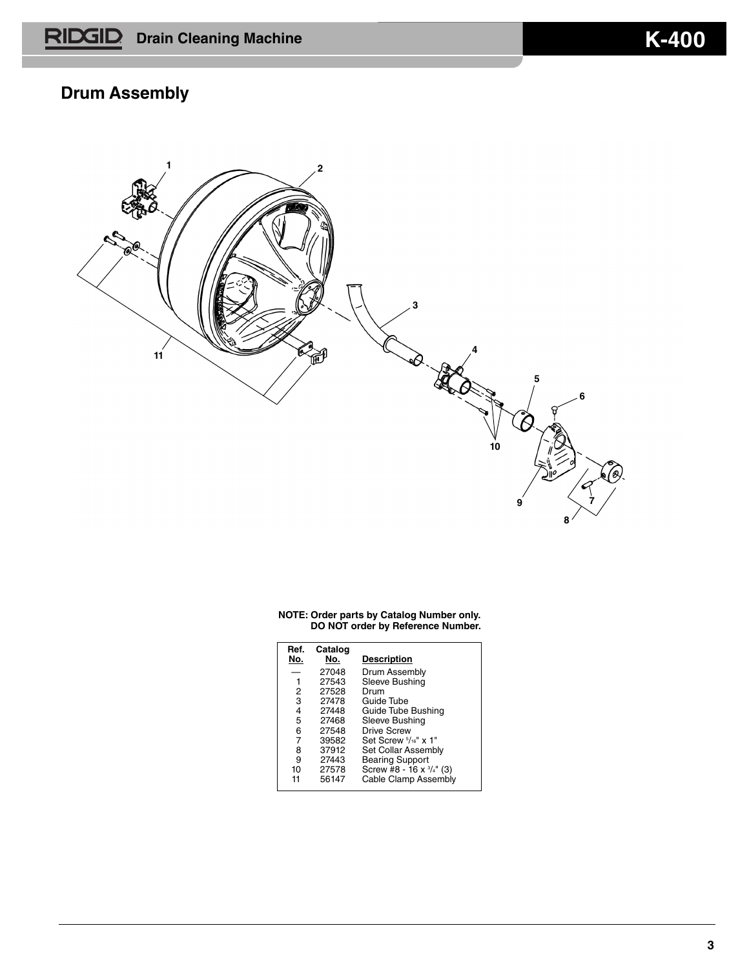# **Drum Assembly**



| Ref.<br>No. | Catalog<br>No. | <b>Description</b>       |
|-------------|----------------|--------------------------|
|             | 27048          | Drum Assembly            |
| 1           | 27543          | Sleeve Bushing           |
| 2           | 27528          | Drum                     |
| 3           | 27478          | Guide Tube               |
| 4           | 27448          | Guide Tube Bushing       |
| 5           | 27468          | Sleeve Bushing           |
| 6           | 27548          | Drive Screw              |
| 7           | 39582          | Set Screw $5/16$ " x 1"  |
| 8           | 37912          | Set Collar Assembly      |
| 9           | 27443          | <b>Bearing Support</b>   |
| 10          | 27578          | Screw #8 - 16 x 3/4" (3) |
| 11          | 56147          | Cable Clamp Assembly     |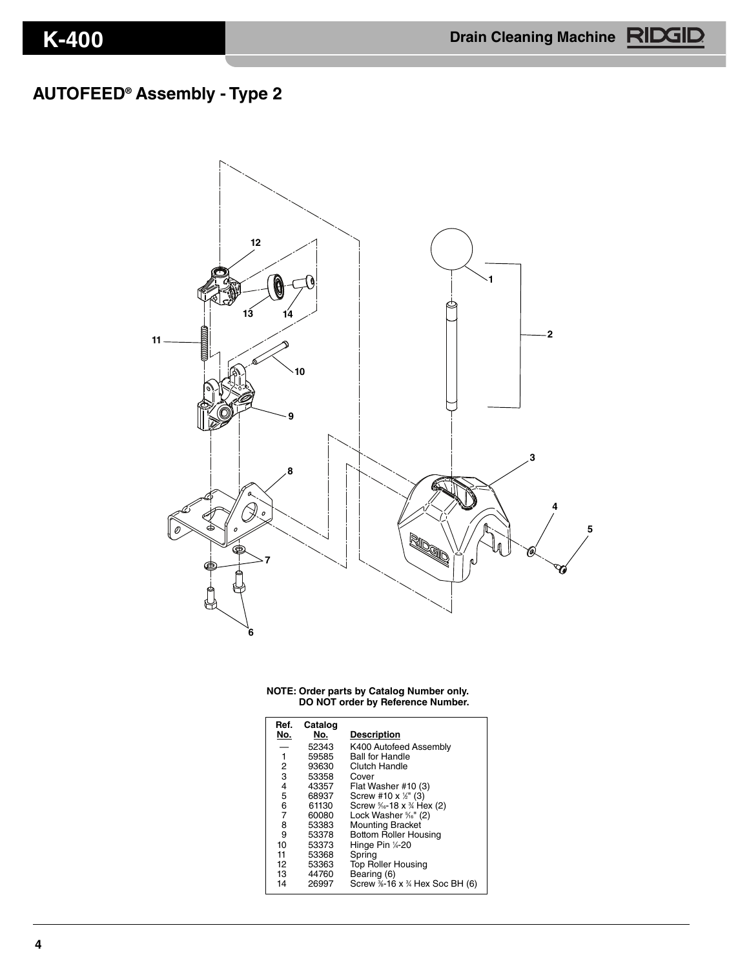# **AUTOFEED® Assembly - Type 2**



|  |  |  | NOTE: Order parts by Catalog Number only. |
|--|--|--|-------------------------------------------|
|  |  |  | DO NOT order by Reference Number.         |

| Ref. | Catalog |                                                  |
|------|---------|--------------------------------------------------|
| No.  | No.     | <b>Description</b>                               |
|      | 52343   | K400 Autofeed Assembly                           |
| 1    | 59585   | <b>Ball for Handle</b>                           |
| 2    | 93630   | Clutch Handle                                    |
| 3    | 53358   | Cover                                            |
| 4    | 43357   | Flat Washer #10 (3)                              |
| 5    | 68937   | Screw #10 x $\frac{1}{2}$ " (3)                  |
| 6    | 61130   | Screw $\frac{5}{16}$ -18 x $\frac{3}{4}$ Hex (2) |
| 7    | 60080   | Lock Washer <sup>5</sup> / <sub>6</sub> " (2)    |
| 8    | 53383   | <b>Mounting Bracket</b>                          |
| 9    | 53378   | <b>Bottom Roller Housing</b>                     |
| 10   | 53373   | Hinge Pin ¼-20                                   |
| 11   | 53368   | Spring                                           |
| 12   | 53363   | <b>Top Roller Housing</b>                        |
| 13   | 44760   | Bearing (6)                                      |
| 14   | 26997   | Screw %-16 x % Hex Soc BH (6)                    |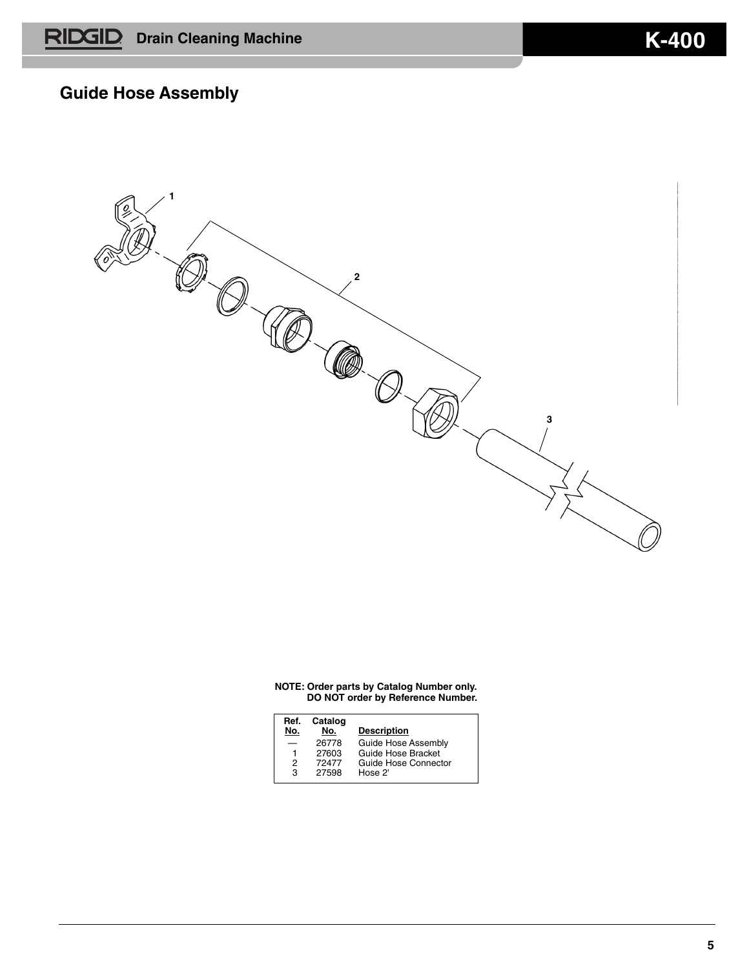### **Guide Hose Assembly**

**1 2**  $\bigotimes$ **3**

| Ref.<br>No. | Catalog<br>No. | <b>Description</b>   |
|-------------|----------------|----------------------|
|             | 26778          | Guide Hose Assembly  |
| 1           | 27603          | Guide Hose Bracket   |
| 2           | 72477          | Guide Hose Connector |
| з           | 27598          | Hose 2'              |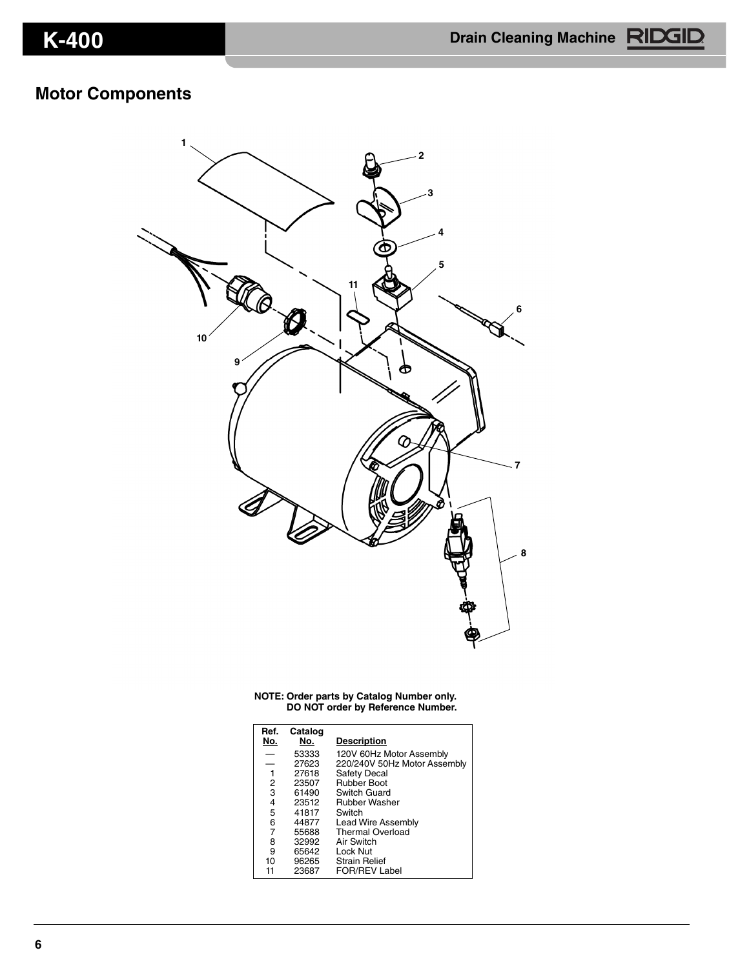### **Motor Components**



| Ref.<br>No.    | Catalog<br>No. | <b>Description</b>           |
|----------------|----------------|------------------------------|
| -              | 53333          | 120V 60Hz Motor Assembly     |
|                | 27623          | 220/240V 50Hz Motor Assembly |
| 1              | 27618          | <b>Safety Decal</b>          |
| $\overline{c}$ | 23507          | <b>Rubber Boot</b>           |
| 3              | 61490          | Switch Guard                 |
| 4              | 23512          | <b>Rubber Washer</b>         |
| 5              | 41817          | Switch                       |
| 6              | 44877          | Lead Wire Assembly           |
| 7              | 55688          | Thermal Overload             |
| 8              | 32992          | Air Switch                   |
| 9              | 65642          | Lock Nut                     |
| 10             | 96265          | <b>Strain Relief</b>         |
| 11             | 23687          | <b>FOR/REV Label</b>         |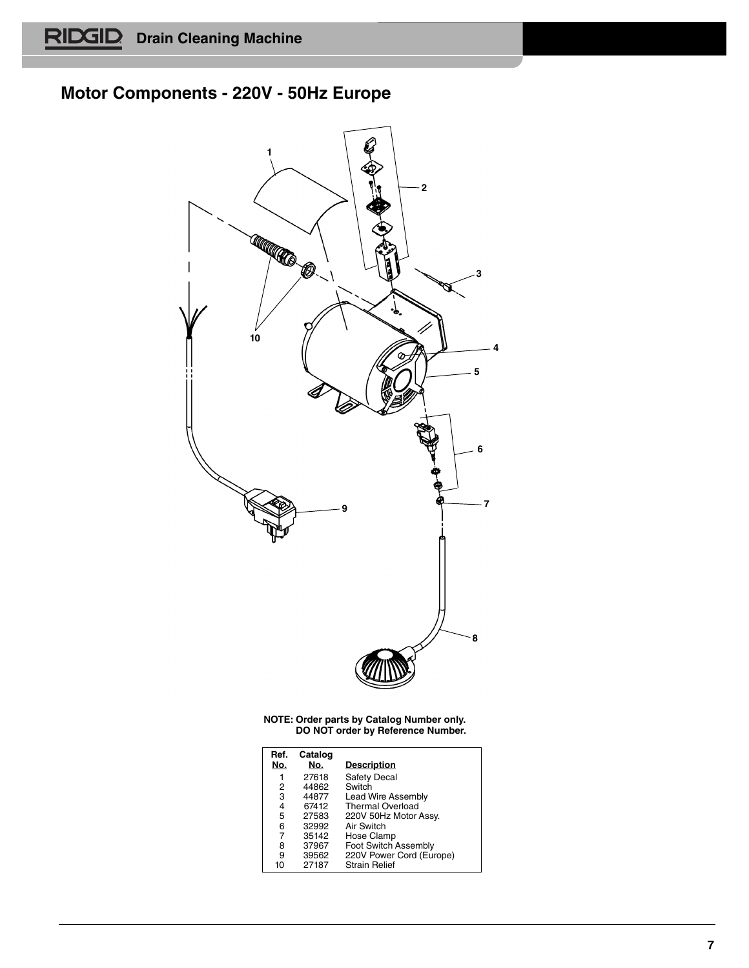# **Motor Components - 220V - 50Hz Europe**



| Ref. | Catalog |                          |
|------|---------|--------------------------|
| No.  | No.     | <b>Description</b>       |
| 1    | 27618   | <b>Safety Decal</b>      |
| 2    | 44862   | Switch                   |
| 3    | 44877   | Lead Wire Assembly       |
| 4    | 67412   | <b>Thermal Overload</b>  |
| 5    | 27583   | 220V 50Hz Motor Assy.    |
| 6    | 32992   | Air Switch               |
| 7    | 35142   | Hose Clamp               |
| 8    | 37967   | Foot Switch Assembly     |
| 9    | 39562   | 220V Power Cord (Europe) |
| 10   | 27187   | <b>Strain Relief</b>     |